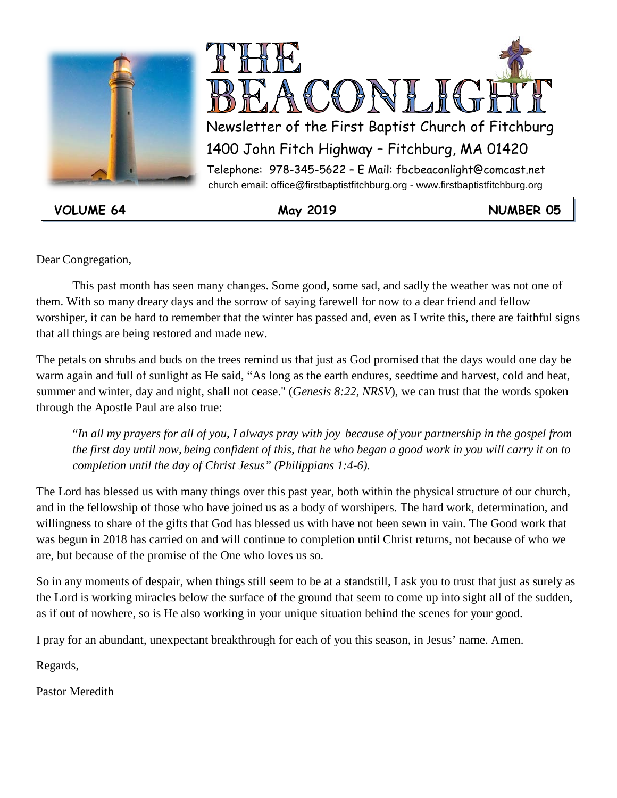



**VOLUME 64 May 2019 NUMBER 05**

Dear Congregation,

This past month has seen many changes. Some good, some sad, and sadly the weather was not one of them. With so many dreary days and the sorrow of saying farewell for now to a dear friend and fellow worshiper, it can be hard to remember that the winter has passed and, even as I write this, there are faithful signs that all things are being restored and made new.

The petals on shrubs and buds on the trees remind us that just as God promised that the days would one day be warm again and full of sunlight as He said, "As long as the earth endures, seedtime and harvest, cold and heat, summer and winter, day and night, shall not cease." (*Genesis 8:22, NRSV*), we can trust that the words spoken through the Apostle Paul are also true:

"*In all my prayers for all of you, I always pray with joy because of your partnership in the gospel from the first day until now, being confident of this, that he who began a good work in you will carry it on to completion until the day of Christ Jesus" (Philippians 1:4-6).*

The Lord has blessed us with many things over this past year, both within the physical structure of our church, and in the fellowship of those who have joined us as a body of worshipers. The hard work, determination, and willingness to share of the gifts that God has blessed us with have not been sewn in vain. The Good work that was begun in 2018 has carried on and will continue to completion until Christ returns, not because of who we are, but because of the promise of the One who loves us so.

So in any moments of despair, when things still seem to be at a standstill, I ask you to trust that just as surely as the Lord is working miracles below the surface of the ground that seem to come up into sight all of the sudden, as if out of nowhere, so is He also working in your unique situation behind the scenes for your good.

I pray for an abundant, unexpectant breakthrough for each of you this season, in Jesus' name. Amen.

Regards,

Pastor Meredith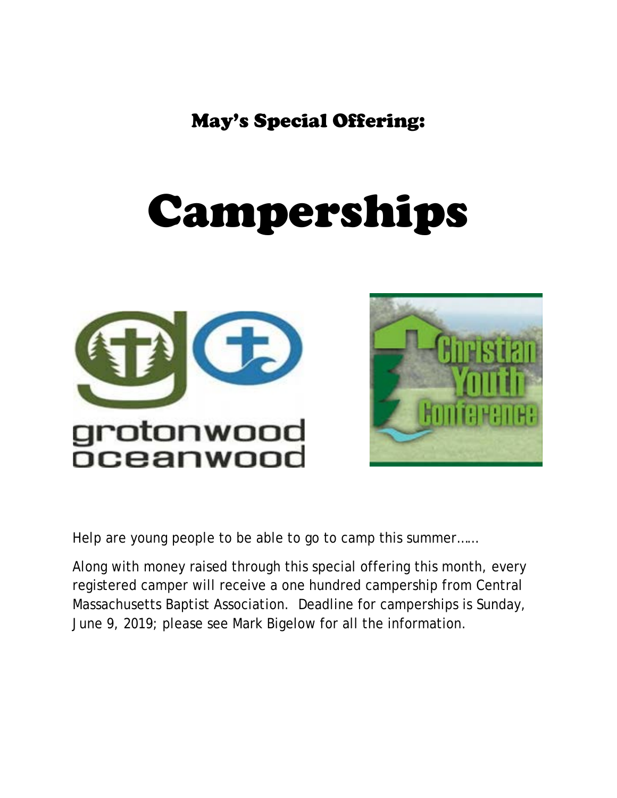May's Special Offering:

# Camperships





Help are young people to be able to go to camp this summer……

Along with money raised through this special offering this month, every registered camper will receive a one hundred campership from Central Massachusetts Baptist Association. Deadline for camperships is Sunday, June 9, 2019; please see Mark Bigelow for all the information.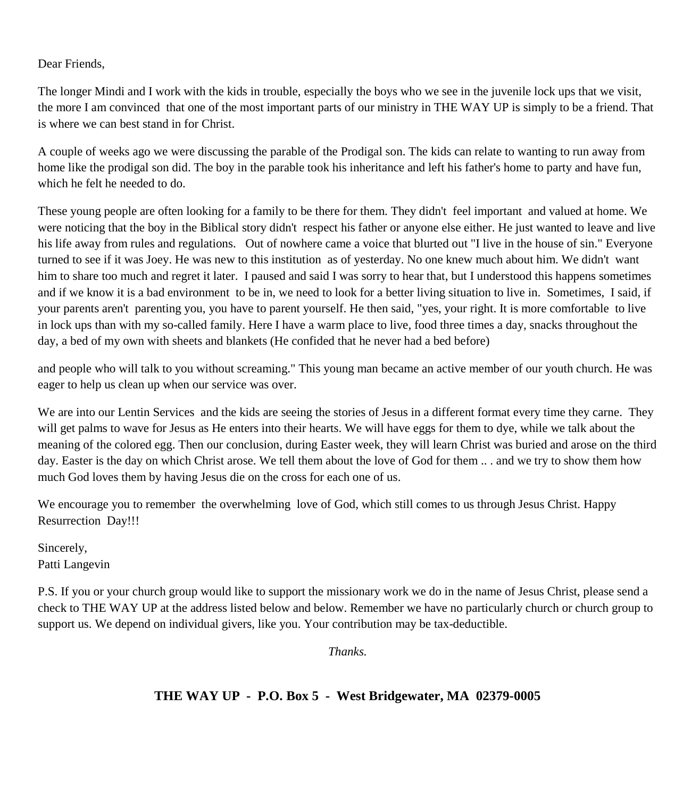#### Dear Friends,

The longer Mindi and I work with the kids in trouble, especially the boys who we see in the juvenile lock ups that we visit, the more I am convinced that one of the most important parts of our ministry in THE WAY UP is simply to be a friend. That is where we can best stand in for Christ.

A couple of weeks ago we were discussing the parable of the Prodigal son. The kids can relate to wanting to run away from home like the prodigal son did. The boy in the parable took his inheritance and left his father's home to party and have fun, which he felt he needed to do.

These young people are often looking for a family to be there for them. They didn't feel important and valued at home. We were noticing that the boy in the Biblical story didn't respect his father or anyone else either. He just wanted to leave and live his life away from rules and regulations. Out of nowhere came a voice that blurted out "I live in the house of sin." Everyone turned to see if it was Joey. He was new to this institution as of yesterday. No one knew much about him. We didn't want him to share too much and regret it later. I paused and said I was sorry to hear that, but I understood this happens sometimes and if we know it is a bad environment to be in, we need to look for a better living situation to live in. Sometimes, I said, if your parents aren't parenting you, you have to parent yourself. He then said, "yes, your right. It is more comfortable to live in lock ups than with my so-called family. Here I have a warm place to live, food three times a day, snacks throughout the day, a bed of my own with sheets and blankets (He confided that he never had a bed before)

and people who will talk to you without screaming." This young man became an active member of our youth church. He was eager to help us clean up when our service was over.

We are into our Lentin Services and the kids are seeing the stories of Jesus in a different format every time they carne. They will get palms to wave for Jesus as He enters into their hearts. We will have eggs for them to dye, while we talk about the meaning of the colored egg. Then our conclusion, during Easter week, they will learn Christ was buried and arose on the third day. Easter is the day on which Christ arose. We tell them about the love of God for them .. . and we try to show them how much God loves them by having Jesus die on the cross for each one of us.

We encourage you to remember the overwhelming love of God, which still comes to us through Jesus Christ. Happy Resurrection Day!!!

Sincerely, Patti Langevin

P.S. If you or your church group would like to support the missionary work we do in the name of Jesus Christ, please send a check to THE WAY UP at the address listed below and below. Remember we have no particularly church or church group to support us. We depend on individual givers, like you. Your contribution may be tax-deductible.

*Thanks.*

### **THE WAY UP - P.O. Box 5 - West Bridgewater, MA 02379-0005**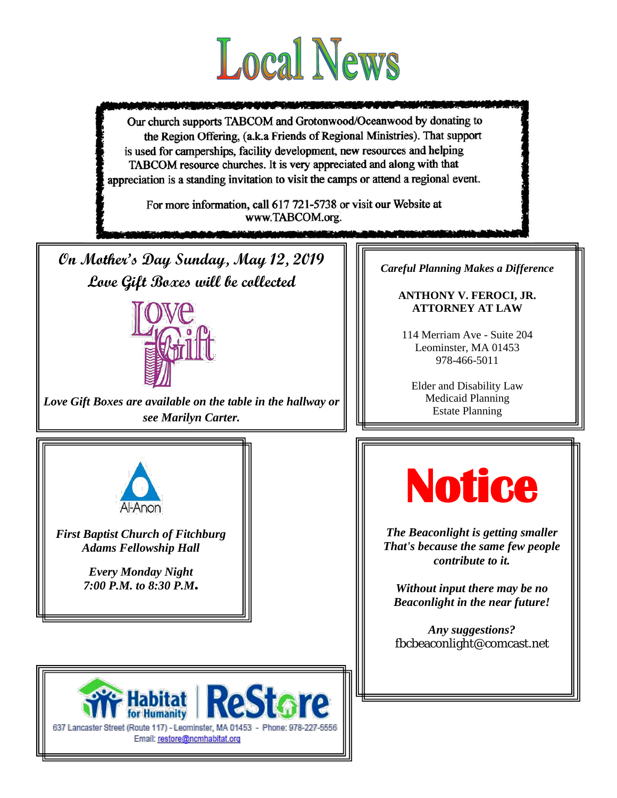

Our church supports TABCOM and Grotonwood/Oceanwood by donating to the Region Offering, (a.k.a Friends of Regional Ministries). That support is used for camperships, facility development, new resources and helping TABCOM resource churches. It is very appreciated and along with that appreciation is a standing invitation to visit the camps or attend a regional event.

> For more information, call 617 721-5738 or visit our Website at www.TABCOM.org.

**On Mother's Day Sunday, May 12, 2019 Love Gift Boxes will be collected** 



*Love Gift Boxes are available on the table in the hallway or see Marilyn Carter.*

*Careful Planning Makes a Difference*

#### **ANTHONY V. FEROCI, JR. ATTORNEY AT LAW**

114 Merriam Ave - Suite 204 Leominster, MA 01453 978-466-5011

Elder and Disability Law Medicaid Planning Estate Planning

L



*First Baptist Church of Fitchburg Adams Fellowship Hall*

> *Every Monday Night 7:00 P.M. to 8:30 P.M*.



*The Beaconlight is getting smaller That's because the same few people contribute to it.*

*Without input there may be no Beaconlight in the near future!*

*Any suggestions?* fbcbeaconlight@comcast.net

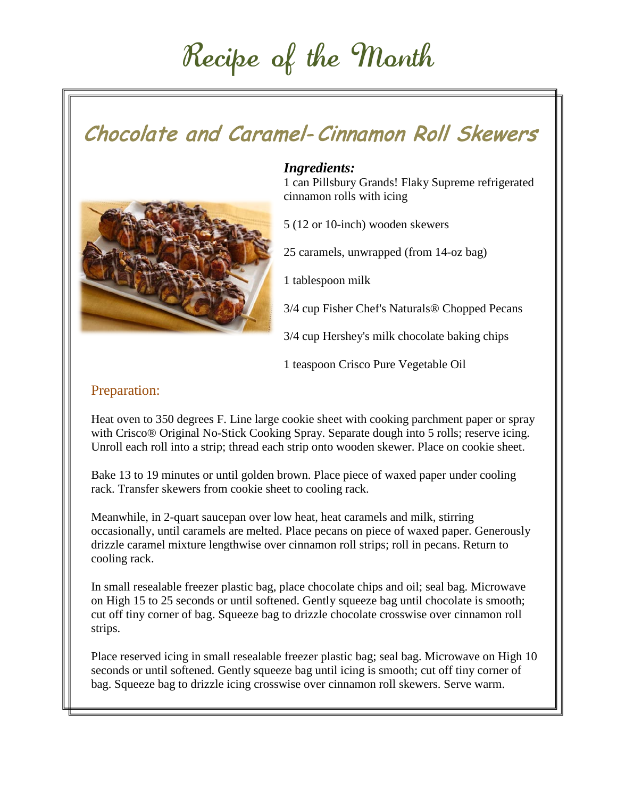## Recipe of the Month

### Chocolate and Caramel- Cinnamon Roll Skewers



### *Ingredients:*

1 can Pillsbury Grands! Flaky Supreme refrigerated cinnamon rolls with icing

5 (12 or 10-inch) wooden skewers

25 caramels, unwrapped (from 14-oz bag)

1 tablespoon milk

3/4 cup Fisher Chef's Naturals® Chopped Pecans

3/4 cup Hershey's milk chocolate baking chips

1 teaspoon Crisco Pure Vegetable Oil

### Preparation:

Heat oven to 350 degrees F. Line large cookie sheet with cooking parchment paper or spray with Crisco® Original No-Stick Cooking Spray. Separate dough into 5 rolls; reserve icing. Unroll each roll into a strip; thread each strip onto wooden skewer. Place on cookie sheet.

Bake 13 to 19 minutes or until golden brown. Place piece of waxed paper under cooling rack. Transfer skewers from cookie sheet to cooling rack.

Meanwhile, in 2-quart saucepan over low heat, heat caramels and milk, stirring occasionally, until caramels are melted. Place pecans on piece of waxed paper. Generously drizzle caramel mixture lengthwise over cinnamon roll strips; roll in pecans. Return to cooling rack.

In small resealable freezer plastic bag, place chocolate chips and oil; seal bag. Microwave on High 15 to 25 seconds or until softened. Gently squeeze bag until chocolate is smooth; cut off tiny corner of bag. Squeeze bag to drizzle chocolate crosswise over cinnamon roll strips.

Place reserved icing in small resealable freezer plastic bag; seal bag. Microwave on High 10 seconds or until softened. Gently squeeze bag until icing is smooth; cut off tiny corner of bag. Squeeze bag to drizzle icing crosswise over cinnamon roll skewers. Serve warm.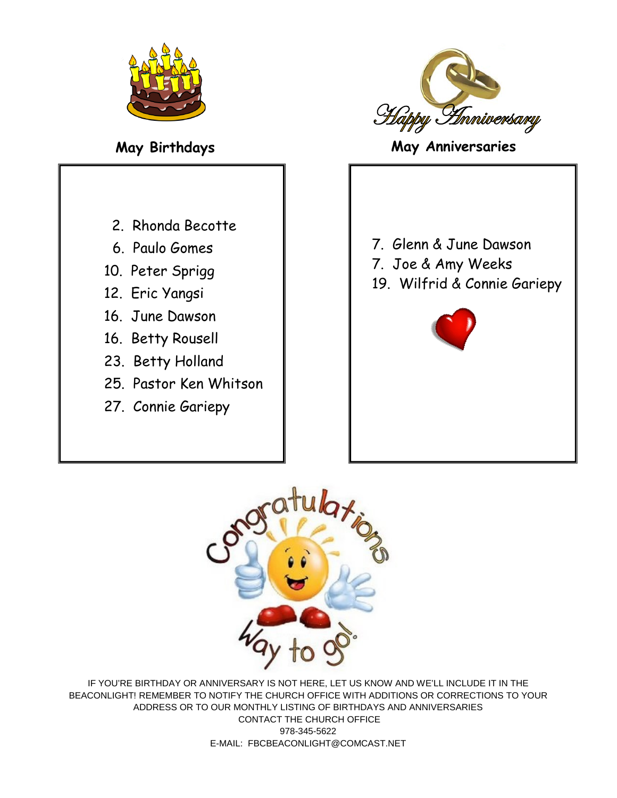

- 2. Rhonda Becotte
- 6. Paulo Gomes
- 10. Peter Sprigg
- 12. Eric Yangsi
- 16. June Dawson
- 16. Betty Rousell
- 23. Betty Holland
- 25. Pastor Ken Whitson
- 27. Connie Gariepy



**May Birthdays May Anniversaries**

7. Glenn & June Dawson 7. Joe & Amy Weeks 19. Wilfrid & Connie Gariepy





IF YOU'RE BIRTHDAY OR ANNIVERSARY IS NOT HERE, LET US KNOW AND WE'LL INCLUDE IT IN THE BEACONLIGHT! REMEMBER TO NOTIFY THE CHURCH OFFICE WITH ADDITIONS OR CORRECTIONS TO YOUR ADDRESS OR TO OUR MONTHLY LISTING OF BIRTHDAYS AND ANNIVERSARIES CONTACT THE CHURCH OFFICE 978-345-5622 E-MAIL: FBCBEACONLIGHT@COMCAST.NET